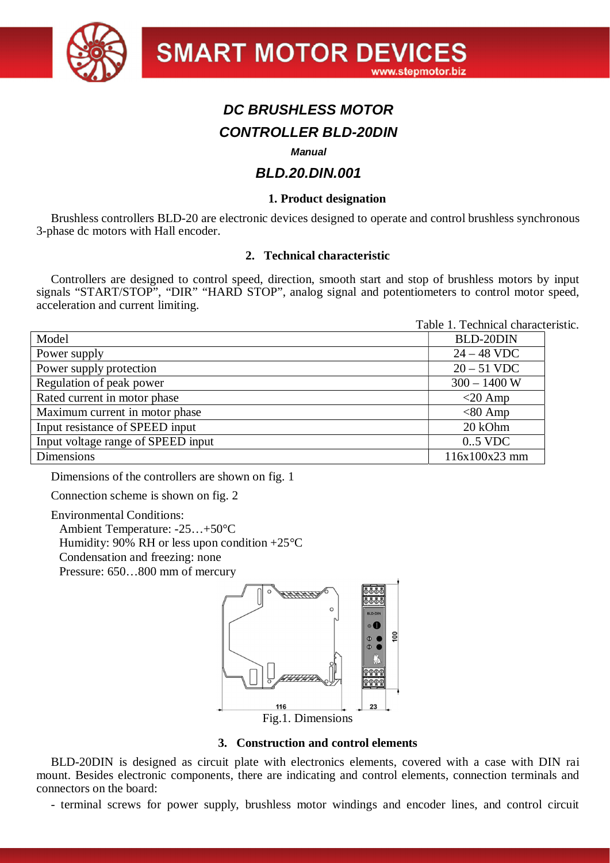

# *DC BRUSHLESS MOTOR CONTROLLER BLD-20DIN*

# *Manual*

# *BLD.20.DIN.001*

# **1. Product designation**

Brushless controllers BLD-20 are electronic devices designed to operate and control brushless synchronous 3-phase dc motors with Hall encoder.

#### **2. Technical characteristic**

Controllers are designed to control speed, direction, smooth start and stop of brushless motors by input signals "START/STOP", "DIR" "HARD STOP", analog signal and potentiometers to control motor speed, acceleration and current limiting.

|                                    | Table 1. Technical characteristic. |  |
|------------------------------------|------------------------------------|--|
| Model                              | <b>BLD-20DIN</b>                   |  |
| Power supply                       | $24 - 48$ VDC                      |  |
| Power supply protection            | $20 - 51$ VDC                      |  |
| Regulation of peak power           | $300 - 1400$ W                     |  |
| Rated current in motor phase       | $<$ 20 Amp                         |  |
| Maximum current in motor phase     | $< 80$ Amp                         |  |
| Input resistance of SPEED input    | 20 kOhm                            |  |
| Input voltage range of SPEED input | $0.5$ VDC                          |  |
| Dimensions                         | 116x100x23 mm                      |  |

Dimensions of the controllers are shown on fig. 1

Connection scheme is shown on fig. 2

Environmental Conditions:

Ambient Temperature: -25…+50°C

Humidity: 90% RH or less upon condition  $+25^{\circ}$ C

Condensation and freezing: none

Pressure: 650…800 mm of mercury



# **3. Construction and control elements**

BLD-20DIN is designed as circuit plate with electronics elements, covered with a case with DIN rai mount. Besides electronic components, there are indicating and control elements, connection terminals and connectors on the board:

- terminal screws for power supply, brushless motor windings and encoder lines, and control circuit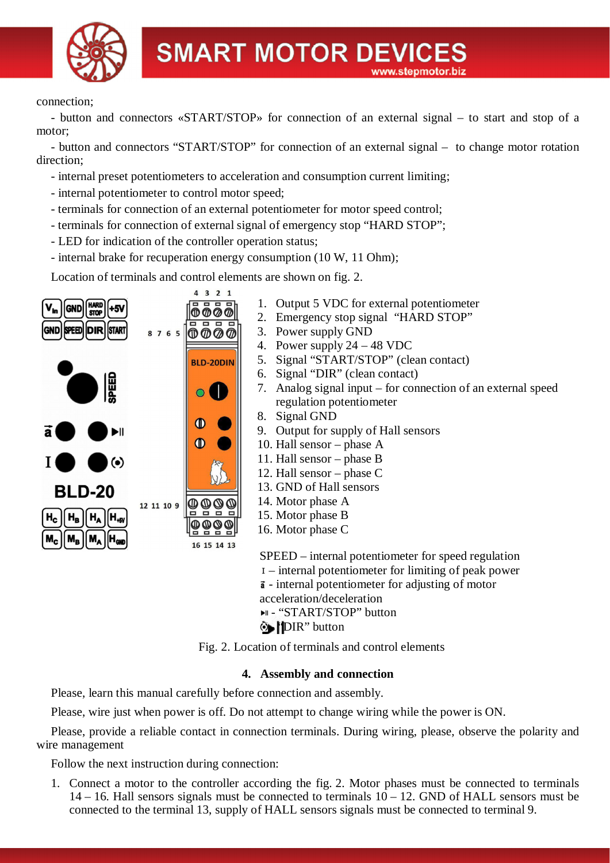

#### connection;

- button and connectors «START/STOP» for connection of an external signal – to start and stop of a motor;

- button and connectors "START/STOP" for connection of an external signal – to change motor rotation direction;

- internal preset potentiometers to acceleration and consumption current limiting;
- internal potentiometer to control motor speed;
- terminals for connection of an external potentiometer for motor speed control;
- terminals for connection of external signal of emergency stop "HARD STOP";
- LED for indication of the controller operation status;
- internal brake for recuperation energy consumption (10 W, 11 Ohm);

Location of terminals and control elements are shown on fig. 2.



- 1. Output 5 VDC for external potentiometer
- 2. Emergency stop signal "HARD STOP"
- 3. Power supply GND
- 4. Power supply 24 48 VDC
- 5. Signal "START/STOP" (clean contact)
- 6. Signal "DIR" (clean contact)
- 7. Analog signal input for connection of an external speed regulation potentiometer
- 8. Signal GND
- 9. Output for supply of Hall sensors
- 10. Hall sensor phase A
- 11. Hall sensor phase B
- 12. Hall sensor phase C
- 13. GND of Hall sensors
- 14. Motor phase A
- 15. Motor phase B
- 16. Motor phase C

SPEED – internal potentiometer for speed regulation – internal potentiometer for limiting of peak power  $\vec{a}$  - internal potentiometer for adjusting of motor acceleration/deceleration ► - "START/STOP" button

**DIR**" button

Fig. 2. Location of terminals and control elements

# **4. Assembly and connection**

Please, learn this manual carefully before connection and assembly.

Please, wire just when power is off. Do not attempt to change wiring while the power is ON.

Please, provide a reliable contact in connection terminals. During wiring, please, observe the polarity and wire management

Follow the next instruction during connection:

1. Connect a motor to the controller according the fig. 2. Motor phases must be connected to terminals 14 – 16. Hall sensors signals must be connected to terminals 10 – 12. GND of HALL sensors must be connected to the terminal 13, supply of HALL sensors signals must be connected to terminal 9.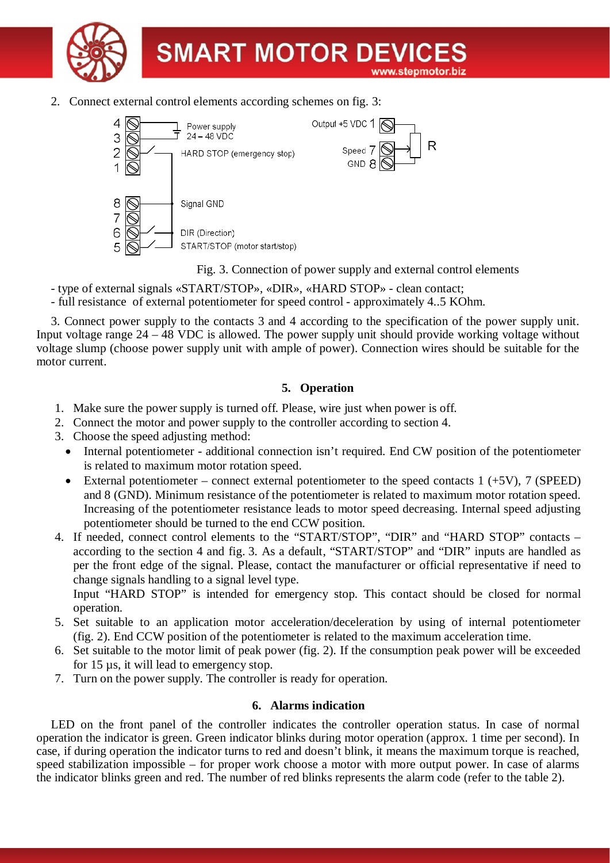

2. Connect external control elements according schemes on fig. 3:



Fig. 3. Connection of power supply and external control elements

Ŕ

- type of external signals «START/STOP», «DIR», «HARD STOP» clean contact;
- full resistance of external potentiometer for speed control approximately 4..5 KOhm.

3. Connect power supply to the contacts 3 and 4 according to the specification of the power supply unit. Input voltage range 24 – 48 VDC is allowed. The power supply unit should provide working voltage without voltage slump (choose power supply unit with ample of power). Connection wires should be suitable for the motor current.

# **5. Operation**

- 1. Make sure the power supply is turned off. Please, wire just when power is off.
- 2. Connect the motor and power supply to the controller according to section 4.
- 3. Choose the speed adjusting method:
	- Internal potentiometer additional connection isn't required. End CW position of the potentiometer is related to maximum motor rotation speed.
	- External potentiometer connect external potentiometer to the speed contacts  $1 (+5V)$ ,  $7 (SPEED)$ and 8 (GND). Minimum resistance of the potentiometer is related to maximum motor rotation speed. Increasing of the potentiometer resistance leads to motor speed decreasing. Internal speed adjusting potentiometer should be turned to the end CCW position.
- 4. If needed, connect control elements to the "START/STOP", "DIR" and "HARD STOP" contacts according to the section 4 and fig. 3. As a default, "START/STOP" and "DIR" inputs are handled as per the front edge of the signal. Please, contact the manufacturer or official representative if need to change signals handling to a signal level type.

Input "HARD STOP" is intended for emergency stop. This contact should be closed for normal operation.

- 5. Set suitable to an application motor acceleration/deceleration by using of internal potentiometer (fig. 2). End CCW position of the potentiometer is related to the maximum acceleration time.
- 6. Set suitable to the motor limit of peak power (fig. 2). If the consumption peak power will be exceeded for 15 µs, it will lead to emergency stop.
- 7. Turn on the power supply. The controller is ready for operation.

# **6. Alarms indication**

LED on the front panel of the controller indicates the controller operation status. In case of normal operation the indicator is green. Green indicator blinks during motor operation (approx. 1 time per second). In case, if during operation the indicator turns to red and doesn't blink, it means the maximum torque is reached, speed stabilization impossible – for proper work choose a motor with more output power. In case of alarms the indicator blinks green and red. The number of red blinks represents the alarm code (refer to the table 2).